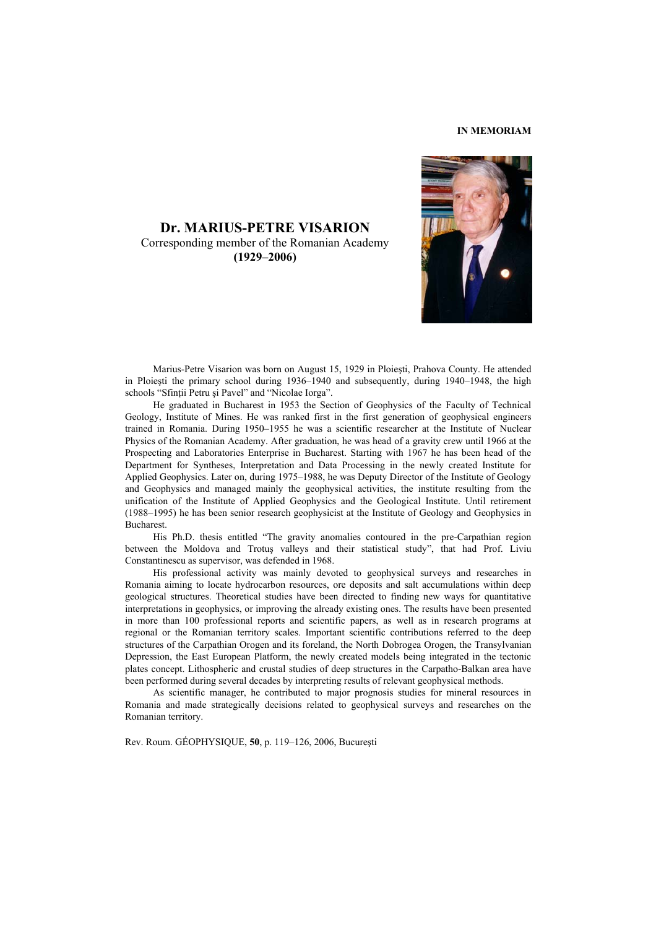# **IN MEMORIAM**

**Dr. MARIUS-PETRE VISARION**  Corresponding member of the Romanian Academy **(1929–2006)**

 Marius-Petre Visarion was born on August 15, 1929 in Ploieşti, Prahova County. He attended in Ploieşti the primary school during 1936–1940 and subsequently, during 1940–1948, the high schools "Sfinții Petru și Pavel" and "Nicolae Iorga".

 He graduated in Bucharest in 1953 the Section of Geophysics of the Faculty of Technical Geology, Institute of Mines. He was ranked first in the first generation of geophysical engineers trained in Romania. During 1950–1955 he was a scientific researcher at the Institute of Nuclear Physics of the Romanian Academy. After graduation, he was head of a gravity crew until 1966 at the Prospecting and Laboratories Enterprise in Bucharest. Starting with 1967 he has been head of the Department for Syntheses, Interpretation and Data Processing in the newly created Institute for Applied Geophysics. Later on, during 1975–1988, he was Deputy Director of the Institute of Geology and Geophysics and managed mainly the geophysical activities, the institute resulting from the unification of the Institute of Applied Geophysics and the Geological Institute. Until retirement (1988–1995) he has been senior research geophysicist at the Institute of Geology and Geophysics in **Bucharest** 

His Ph.D. thesis entitled "The gravity anomalies contoured in the pre-Carpathian region between the Moldova and Trotuş valleys and their statistical study", that had Prof. Liviu Constantinescu as supervisor, was defended in 1968.

 His professional activity was mainly devoted to geophysical surveys and researches in Romania aiming to locate hydrocarbon resources, ore deposits and salt accumulations within deep geological structures. Theoretical studies have been directed to finding new ways for quantitative interpretations in geophysics, or improving the already existing ones. The results have been presented in more than 100 professional reports and scientific papers, as well as in research programs at regional or the Romanian territory scales. Important scientific contributions referred to the deep structures of the Carpathian Orogen and its foreland, the North Dobrogea Orogen, the Transylvanian Depression, the East European Platform, the newly created models being integrated in the tectonic plates concept. Lithospheric and crustal studies of deep structures in the Carpatho-Balkan area have been performed during several decades by interpreting results of relevant geophysical methods.

 As scientific manager, he contributed to major prognosis studies for mineral resources in Romania and made strategically decisions related to geophysical surveys and researches on the Romanian territory.

Rev. Roum. GÉOPHYSIQUE, **50**, p. 119–126, 2006, Bucureşti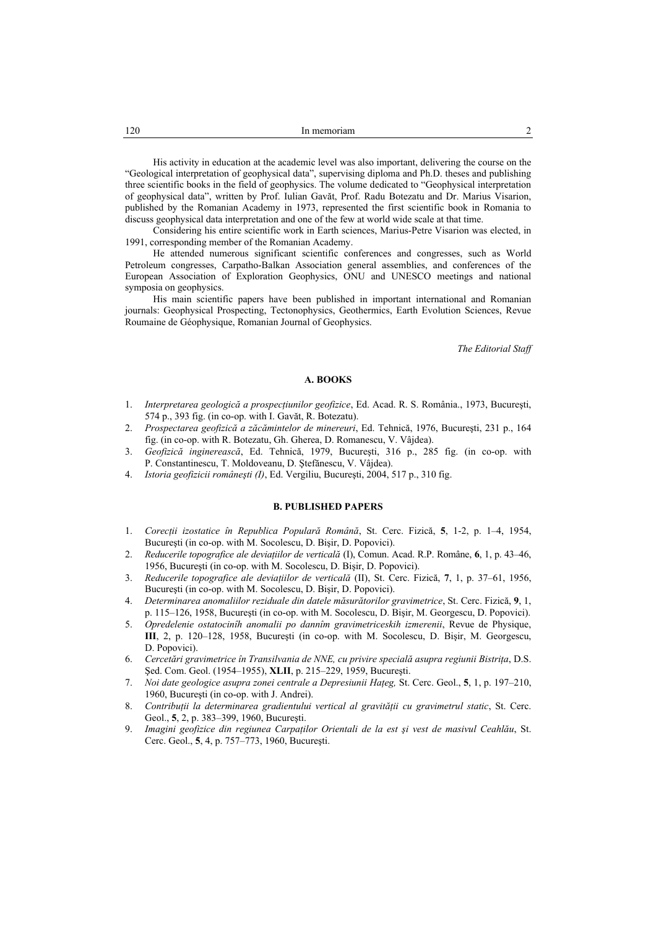His activity in education at the academic level was also important, delivering the course on the "Geological interpretation of geophysical data", supervising diploma and Ph.D. theses and publishing three scientific books in the field of geophysics. The volume dedicated to "Geophysical interpretation of geophysical data", written by Prof. Iulian Gavăt, Prof. Radu Botezatu and Dr. Marius Visarion, published by the Romanian Academy in 1973, represented the first scientific book in Romania to discuss geophysical data interpretation and one of the few at world wide scale at that time.

 Considering his entire scientific work in Earth sciences, Marius-Petre Visarion was elected, in 1991, corresponding member of the Romanian Academy.

 He attended numerous significant scientific conferences and congresses, such as World Petroleum congresses, Carpatho-Balkan Association general assemblies, and conferences of the European Association of Exploration Geophysics, ONU and UNESCO meetings and national symposia on geophysics.

 His main scientific papers have been published in important international and Romanian journals: Geophysical Prospecting, Tectonophysics, Geothermics, Earth Evolution Sciences, Revue Roumaine de Géophysique, Romanian Journal of Geophysics.

*The Editorial Staff* 

#### **A. BOOKS**

- 1. *Interpretarea geologică a prospecţiunilor geofizice*, Ed. Acad. R. S. România., 1973, Bucureşti, 574 p., 393 fig. (in co-op. with I. Gavăt, R. Botezatu).
- 2. *Prospectarea geofizică a zăcămintelor de minereuri*, Ed. Tehnică, 1976, Bucureşti, 231 p., 164 fig. (in co-op. with R. Botezatu, Gh. Gherea, D. Romanescu, V. Vâjdea).
- 3. *Geofizică inginerească*, Ed. Tehnică, 1979, Bucureşti, 316 p., 285 fig. (in co-op. with P. Constantinescu, T. Moldoveanu, D. Ştefănescu, V. Vâjdea).
- 4. *Istoria geofizicii româneşti (I)*, Ed. Vergiliu, Bucureşti, 2004, 517 p., 310 fig.

## **B. PUBLISHED PAPERS**

- 1. *Corecţii izostatice în Republica Populară Română*, St. Cerc. Fizică, **5**, 1-2, p. 1–4, 1954, Bucureşti (in co-op. with M. Socolescu, D. Bişir, D. Popovici).
- 2. *Reducerile topografice ale deviaţiilor de verticală* (I), Comun. Acad. R.P. Române, **6**, 1, p. 43–46, 1956, Bucureşti (in co-op. with M. Socolescu, D. Bişir, D. Popovici).
- 3. *Reducerile topografice ale deviaţiilor de verticală* (II), St. Cerc. Fizică, **7**, 1, p. 37–61, 1956, Bucureşti (in co-op. with M. Socolescu, D. Bişir, D. Popovici).
- 4. *Determinarea anomaliilor reziduale din datele măsurătorilor gravimetrice*, St. Cerc. Fizică, **9**, 1, p. 115–126, 1958, Bucureşti (in co-op. with M. Socolescu, D. Bişir, M. Georgescu, D. Popovici).
- 5. *Opredelenie ostatocinîh anomalii po dannîm gravimetriceskih izmerenii*, Revue de Physique, **III**, 2, p. 120–128, 1958, Bucureşti (in co-op. with M. Socolescu, D. Bişir, M. Georgescu, D. Popovici).
- 6. Cercetări gravimetrice în Transilvania de NNE, cu privire specială asupra regiunii Bistrita, D.S. Şed. Com. Geol. (1954–1955), **XLII**, p. 215–229, 1959, Bucureşti.
- 7. *Noi date geologice asupra zonei centrale a Depresiunii Haţeg,* St. Cerc. Geol., **5**, 1, p. 197–210, 1960, Bucureşti (in co-op. with J. Andrei).
- 8. Contribuții la determinarea gradientului vertical al gravității cu gravimetrul static, St. Cerc. Geol., **5**, 2, p. 383–399, 1960, Bucureşti.
- 9. *Imagini geofizice din regiunea Carpaţilor Orientali de la est şi vest de masivul Ceahlău*, St. Cerc. Geol., **5**, 4, p. 757–773, 1960, Bucureşti.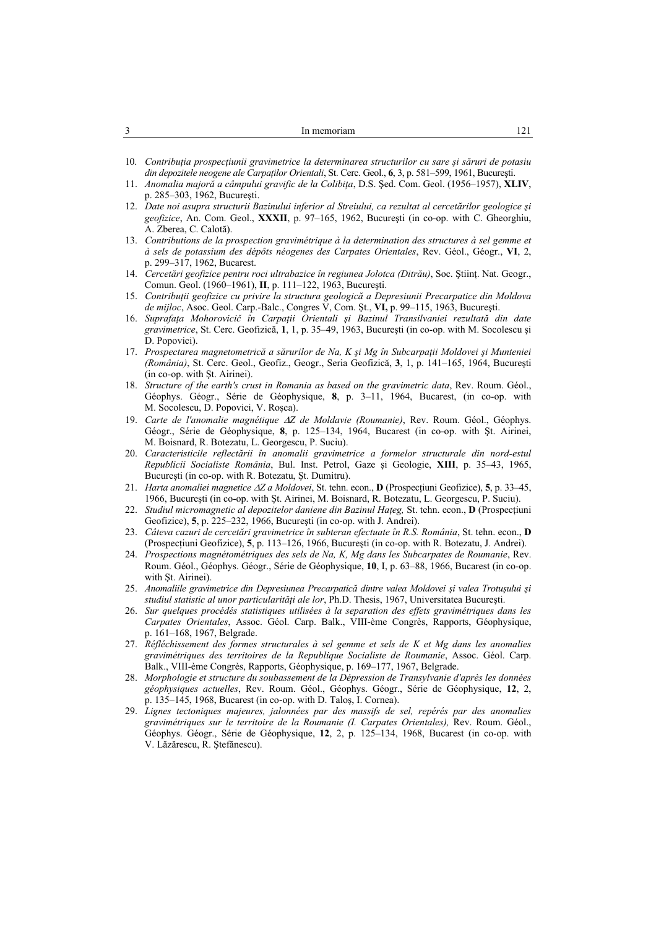| . . | In memoriam |  |
|-----|-------------|--|
|     |             |  |

- 10. *Contribuţia prospecţiunii gravimetrice la determinarea structurilor cu sare şi săruri de potasiu din depozitele neogene ale Carpaţilor Orientali*, St. Cerc. Geol., **6**, 3, p. 581–599, 1961, Bucureşti.
- 11. *Anomalia majoră a câmpului gravific de la Colibiţa*, D.S. Şed. Com. Geol. (1956–1957), **XLIV**, p. 285–303, 1962, Bucureşti.
- 12. *Date noi asupra structurii Bazinului inferior al Streiului, ca rezultat al cercetărilor geologice şi geofizice*, An. Com. Geol., **XXXII**, p. 97–165, 1962, Bucureşti (in co-op. with C. Gheorghiu, A. Zberea, C. Calotă).
- 13. *Contributions de la prospection gravimétrique à la determination des structures à sel gemme et à sels de potassium des dépôts néogenes des Carpates Orientales*, Rev. Géol., Géogr., **VI**, 2, p. 299–317, 1962, Bucarest.
- 14. *Cercetări geofizice pentru roci ultrabazice în regiunea Jolotca (Ditrău)*, Soc. Ştiinţ. Nat. Geogr., Comun. Geol. (1960–1961), **II**, p. 111–122, 1963, Bucureşti.
- 15. *Contribuţii geofizice cu privire la structura geologică a Depresiunii Precarpatice din Moldova de mijloc*, Asoc. Geol. Carp.-Balc., Congres V, Com. Şt., **VI,** p. 99–115, 1963, Bucureşti.
- 16. *Suprafaţa Mohorovicič în Carpaţii Orientali şi Bazinul Transilvaniei rezultată din date gravimetrice*, St. Cerc. Geofizică, **1**, 1, p. 35–49, 1963, Bucureşti (in co-op. with M. Socolescu şi D. Popovici).
- 17. *Prospectarea magnetometrică a sărurilor de Na, K şi Mg în Subcarpaţii Moldovei şi Munteniei (România)*, St. Cerc. Geol., Geofiz., Geogr., Seria Geofizică, **3**, 1, p. 141–165, 1964, Bucureşti (in co-op. with Şt. Airinei).
- 18. *Structure of the earth's crust in Romania as based on the gravimetric data*, Rev. Roum. Géol., Géophys. Géogr., Série de Géophysique, **8**, p. 3–11, 1964, Bucarest, (in co-op. with M. Socolescu, D. Popovici, V. Roşca).
- 19. *Carte de l'anomalie magnétique* ∆*Z de Moldavie (Roumanie)*, Rev. Roum. Géol., Géophys. Géogr., Série de Géophysique, **8**, p. 125–134, 1964, Bucarest (in co-op. with Şt. Airinei, M. Boisnard, R. Botezatu, L. Georgescu, P. Suciu).
- 20. *Caracteristicile reflectării în anomalii gravimetrice a formelor structurale din nord-estul Republicii Socialiste România*, Bul. Inst. Petrol, Gaze şi Geologie, **XIII**, p. 35–43, 1965, Bucureşti (in co-op. with R. Botezatu, Şt. Dumitru).
- 21. *Harta anomaliei magnetice* ∆*Z a Moldovei*, St. tehn. econ., **D** (Prospecţiuni Geofizice), **5**, p. 33–45, 1966, Bucureşti (in co-op. with Şt. Airinei, M. Boisnard, R. Botezatu, L. Georgescu, P. Suciu).
- 22. *Studiul micromagnetic al depozitelor daniene din Bazinul Haţeg,* St. tehn. econ., **D** (Prospecţiuni Geofizice), **5**, p. 225–232, 1966, Bucureşti (in co-op. with J. Andrei).
- 23. *Câteva cazuri de cercetări gravimetrice în subteran efectuate în R.S. România*, St. tehn. econ., **D** (Prospecţiuni Geofizice), **5**, p. 113–126, 1966, Bucureşti (in co-op. with R. Botezatu, J. Andrei).
- 24. *Prospections magnétométriques des sels de Na, K, Mg dans les Subcarpates de Roumanie*, Rev. Roum. Géol., Géophys. Géogr., Série de Géophysique, **10**, I, p. 63–88, 1966, Bucarest (in co-op. with Şt. Airinei).
- 25. *Anomaliile gravimetrice din Depresiunea Precarpatică dintre valea Moldovei şi valea Trotuşului şi studiul statistic al unor particularităţi ale lor*, Ph.D. Thesis, 1967, Universitatea Bucureşti.
- 26. *Sur quelques procédés statistiques utilisées à la separation des effets gravimétriques dans les Carpates Orientales*, Assoc. Géol. Carp. Balk., VIII-ème Congrès, Rapports, Géophysique, p. 161–168, 1967, Belgrade.
- 27. *Réfléchissement des formes structurales à sel gemme et sels de K et Mg dans les anomalies gravimétriques des territoires de la Republique Socialiste de Roumanie*, Assoc. Géol. Carp. Balk., VIII-ème Congrès, Rapports, Géophysique, p. 169–177, 1967, Belgrade.
- 28. *Morphologie et structure du soubassement de la Dépression de Transylvanie d'après les données géophysiques actuelles*, Rev. Roum. Géol., Géophys. Géogr., Série de Géophysique, **12**, 2, p. 135–145, 1968, Bucarest (in co-op. with D. Taloş, I. Cornea).
- 29. *Lignes tectoniques majeures, jalonnées par des massifs de sel, repérés par des anomalies gravimétriques sur le territoire de la Roumanie (I. Carpates Orientales),* Rev. Roum. Géol., Géophys. Géogr., Série de Géophysique, **12**, 2, p. 125–134, 1968, Bucarest (in co-op. with V. Lăzărescu, R. Ştefănescu).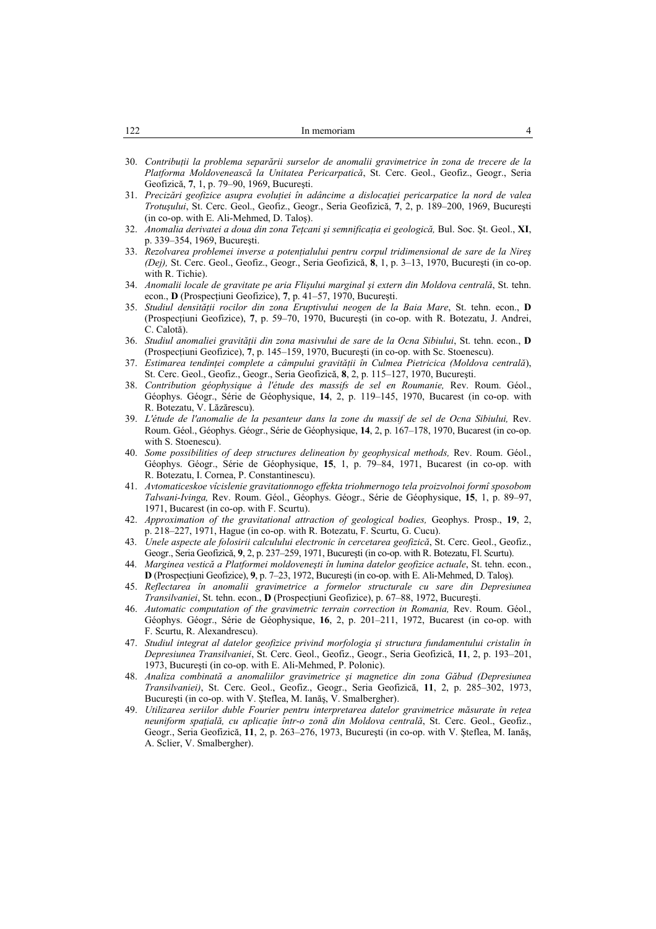| 122<br>In memoriam | 4 |
|--------------------|---|
|--------------------|---|

- 30. *Contribuţii la problema separării surselor de anomalii gravimetrice în zona de trecere de la Platforma Moldovenească la Unitatea Pericarpatică*, St. Cerc. Geol., Geofiz., Geogr., Seria Geofizică, **7**, 1, p. 79–90, 1969, Bucureşti.
- 31. *Precizări geofizice asupra evoluţiei în adâncime a dislocaţiei pericarpatice la nord de valea Trotuşului*, St. Cerc. Geol., Geofiz., Geogr., Seria Geofizică, **7**, 2, p. 189–200, 1969, Bucureşti (in co-op. with E. Ali-Mehmed, D. Taloş).
- 32. *Anomalia derivatei a doua din zona Teţcani şi semnificaţia ei geologică,* Bul. Soc. Şt. Geol., **XI**, p. 339–354, 1969, Bucureşti.
- 33. *Rezolvarea problemei inverse a potenţialului pentru corpul tridimensional de sare de la Nireş (Dej),* St. Cerc. Geol., Geofiz., Geogr., Seria Geofizică, **8**, 1, p. 3–13, 1970, Bucureşti (in co-op. with R. Tichie).
- 34. *Anomalii locale de gravitate pe aria Flişului marginal şi extern din Moldova centrală*, St. tehn. econ., **D** (Prospecţiuni Geofizice), **7**, p. 41–57, 1970, Bucureşti.
- 35. *Studiul densităţii rocilor din zona Eruptivului neogen de la Baia Mare*, St. tehn. econ., **D** (Prospecţiuni Geofizice), **7**, p. 59–70, 1970, Bucureşti (in co-op. with R. Botezatu, J. Andrei, C. Calotă).
- 36. *Studiul anomaliei gravităţii din zona masivului de sare de la Ocna Sibiului*, St. tehn. econ., **D** (Prospecţiuni Geofizice), **7**, p. 145–159, 1970, Bucureşti (in co-op. with Sc. Stoenescu).
- 37. *Estimarea tendinţei complete a câmpului gravităţii în Culmea Pietricica (Moldova centrală*), St. Cerc. Geol., Geofiz., Geogr., Seria Geofizică, **8**, 2, p. 115–127, 1970, Bucureşti.
- 38. *Contribution géophysique à l'étude des massifs de sel en Roumanie,* Rev. Roum. Géol., Géophys. Géogr., Série de Géophysique, **14**, 2, p. 119–145, 1970, Bucarest (in co-op. with R. Botezatu, V. Lăzărescu).
- 39. *L'étude de l'anomalie de la pesanteur dans la zone du massif de sel de Ocna Sibiului,* Rev. Roum. Géol., Géophys. Géogr., Série de Géophysique, **14**, 2, p. 167–178, 1970, Bucarest (in co-op. with S. Stoenescu).
- 40. *Some possibilities of deep structures delineation by geophysical methods,* Rev. Roum. Géol., Géophys. Géogr., Série de Géophysique, **15**, 1, p. 79–84, 1971, Bucarest (in co-op. with R. Botezatu, I. Cornea, P. Constantinescu).
- 41. *Avtomaticeskoe vîcislenie gravitationnogo effekta triohmernogo tela proizvolnoi formî sposobom Talwani-Ivinga,* Rev. Roum. Géol., Géophys. Géogr., Série de Géophysique, **15**, 1, p. 89–97, 1971, Bucarest (in co-op. with F. Scurtu).
- 42. *Approximation of the gravitational attraction of geological bodies,* Geophys. Prosp., **19**, 2, p. 218–227, 1971, Hague (in co-op. with R. Botezatu, F. Scurtu, G. Cucu).
- 43. *Unele aspecte ale folosirii calculului electronic în cercetarea geofizică*, St. Cerc. Geol., Geofiz., Geogr., Seria Geofizică, **9**, 2, p. 237–259, 1971, Bucureşti (in co-op. with R. Botezatu, Fl. Scurtu).
- 44. *Marginea vestică a Platformei moldoveneşti în lumina datelor geofizice actuale*, St. tehn. econ., **D** (Prospecţiuni Geofizice), **9**, p. 7–23, 1972, Bucureşti (in co-op. with E. Ali-Mehmed, D. Taloş).
- 45. *Reflectarea în anomalii gravimetrice a formelor structurale cu sare din Depresiunea Transilvaniei*, St. tehn. econ., **D** (Prospecţiuni Geofizice), p. 67–88, 1972, Bucureşti.
- 46. *Automatic computation of the gravimetric terrain correction in Romania,* Rev. Roum. Géol., Géophys. Géogr., Série de Géophysique, **16**, 2, p. 201–211, 1972, Bucarest (in co-op. with F. Scurtu, R. Alexandrescu).
- 47. *Studiul integrat al datelor geofizice privind morfologia şi structura fundamentului cristalin în Depresiunea Transilvaniei*, St. Cerc. Geol., Geofiz., Geogr., Seria Geofizică, **11**, 2, p. 193–201, 1973, Bucureşti (in co-op. with E. Ali-Mehmed, P. Polonic).
- 48. *Analiza combinată a anomaliilor gravimetrice şi magnetice din zona Găbud (Depresiunea Transilvaniei)*, St. Cerc. Geol., Geofiz., Geogr., Seria Geofizică, **11**, 2, p. 285–302, 1973, Bucureşti (in co-op. with V. Şteflea, M. Ianăş, V. Smalbergher).
- 49. *Utilizarea seriilor duble Fourier pentru interpretarea datelor gravimetrice măsurate în reţea neuniform spaţială, cu aplicaţie într-o zonă din Moldova centrală*, St. Cerc. Geol., Geofiz., Geogr., Seria Geofizică, **11**, 2, p. 263–276, 1973, Bucureşti (in co-op. with V. Şteflea, M. Ianăş, A. Sclier, V. Smalbergher).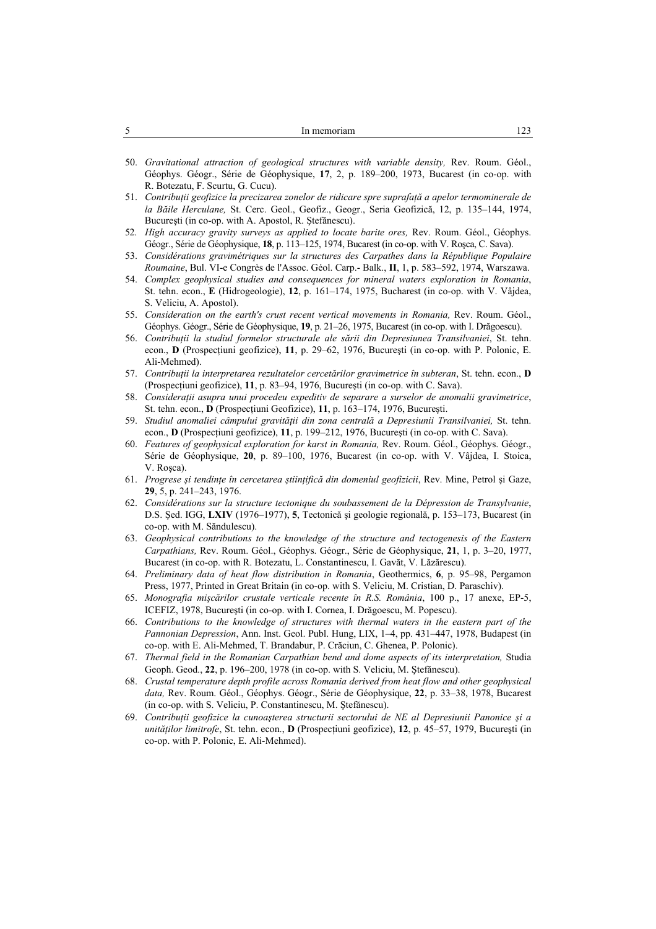| <b>STATE</b><br>. . | In memoriam | __ |
|---------------------|-------------|----|
|                     |             |    |

- 50. *Gravitational attraction of geological structures with variable density,* Rev. Roum. Géol., Géophys. Géogr., Série de Géophysique, **17**, 2, p. 189–200, 1973, Bucarest (in co-op. with R. Botezatu, F. Scurtu, G. Cucu).
- 51. *Contribuţii geofizice la precizarea zonelor de ridicare spre suprafaţă a apelor termominerale de la Băile Herculane,* St. Cerc. Geol., Geofiz., Geogr., Seria Geofizică, 12, p. 135–144, 1974, Bucureşti (in co-op. with A. Apostol, R. Ştefănescu).
- 52. *High accuracy gravity surveys as applied to locate barite ores,* Rev. Roum. Géol., Géophys. Géogr., Série de Géophysique, **18**, p. 113–125, 1974, Bucarest (in co-op. with V. Roşca, C. Sava).
- 53. *Considérations gravimétriques sur la structures des Carpathes dans la République Populaire Roumaine*, Bul. VI-e Congrès de l'Assoc. Géol. Carp.- Balk., **II**, 1, p. 583–592, 1974, Warszawa.
- 54. *Complex geophysical studies and consequences for mineral waters exploration in Romania*, St. tehn. econ., **E** (Hidrogeologie), **12**, p. 161–174, 1975, Bucharest (in co-op. with V. Vâjdea, S. Veliciu, A. Apostol).
- 55. *Consideration on the earth's crust recent vertical movements in Romania,* Rev. Roum. Géol., Géophys. Géogr., Série de Géophysique, **19**, p. 21–26, 1975, Bucarest (in co-op. with I. Drăgoescu).
- 56. *Contribuţii la studiul formelor structurale ale sării din Depresiunea Transilvaniei*, St. tehn. econ., **D** (Prospecţiuni geofizice), **11**, p. 29–62, 1976, Bucureşti (in co-op. with P. Polonic, E. Ali-Mehmed).
- 57. *Contribuţii la interpretarea rezultatelor cercetărilor gravimetrice în subteran*, St. tehn. econ., **D** (Prospecţiuni geofizice), **11**, p. 83–94, 1976, Bucureşti (in co-op. with C. Sava).
- 58. *Consideraţii asupra unui procedeu expeditiv de separare a surselor de anomalii gravimetrice*, St. tehn. econ., **D** (Prospecţiuni Geofizice), **11**, p. 163–174, 1976, Bucureşti.
- 59. *Studiul anomaliei câmpului gravităţii din zona centrală a Depresiunii Transilvaniei,* St. tehn. econ., **D** (Prospecţiuni geofizice), **11**, p. 199–212, 1976, Bucureşti (in co-op. with C. Sava).
- 60. *Features of geophysical exploration for karst in Romania,* Rev. Roum. Géol., Géophys. Géogr., Série de Géophysique, **20**, p. 89–100, 1976, Bucarest (in co-op. with V. Vâjdea, I. Stoica, V. Rosca).
- 61. *Progrese şi tendinţe în cercetarea ştiinţifică din domeniul geofizicii*, Rev. Mine, Petrol şi Gaze, **29**, 5, p. 241–243, 1976.
- 62. *Considérations sur la structure tectonique du soubassement de la Dépression de Transylvanie*, D.S. Şed. IGG, **LXIV** (1976–1977), **5**, Tectonică şi geologie regională, p. 153–173, Bucarest (in co-op. with M. Săndulescu).
- 63. *Geophysical contributions to the knowledge of the structure and tectogenesis of the Eastern Carpathians,* Rev. Roum. Géol., Géophys. Géogr., Série de Géophysique, **21**, 1, p. 3–20, 1977, Bucarest (in co-op. with R. Botezatu, L. Constantinescu, I. Gavăt, V. Lăzărescu).
- 64. *Preliminary data of heat flow distribution in Romania*, Geothermics, **6**, p. 95–98, Pergamon Press, 1977, Printed in Great Britain (in co-op. with S. Veliciu, M. Cristian, D. Paraschiv).
- 65. *Monografia mişcărilor crustale verticale recente în R.S. România*, 100 p., 17 anexe, EP-5, ICEFIZ, 1978, Bucureşti (in co-op. with I. Cornea, I. Drăgoescu, M. Popescu).
- 66. *Contributions to the knowledge of structures with thermal waters in the eastern part of the Pannonian Depression*, Ann. Inst. Geol. Publ. Hung, LIX, 1–4, pp. 431–447, 1978, Budapest (in co-op. with E. Ali-Mehmed, T. Brandabur, P. Crăciun, C. Ghenea, P. Polonic).
- 67. *Thermal field in the Romanian Carpathian bend and dome aspects of its interpretation,* Studia Geoph. Geod., **22**, p. 196–200, 1978 (in co-op. with S. Veliciu, M. Ştefănescu).
- 68. *Crustal temperature depth profile across Romania derived from heat flow and other geophysical data,* Rev. Roum. Géol., Géophys. Géogr., Série de Géophysique, **22**, p. 33–38, 1978, Bucarest (in co-op. with S. Veliciu, P. Constantinescu, M. Ştefănescu).
- 69. *Contribuţii geofizice la cunoaşterea structurii sectorului de NE al Depresiunii Panonice şi a unităţilor limitrofe*, St. tehn. econ., **D** (Prospecţiuni geofizice), **12**, p. 45–57, 1979, Bucureşti (in co-op. with P. Polonic, E. Ali-Mehmed).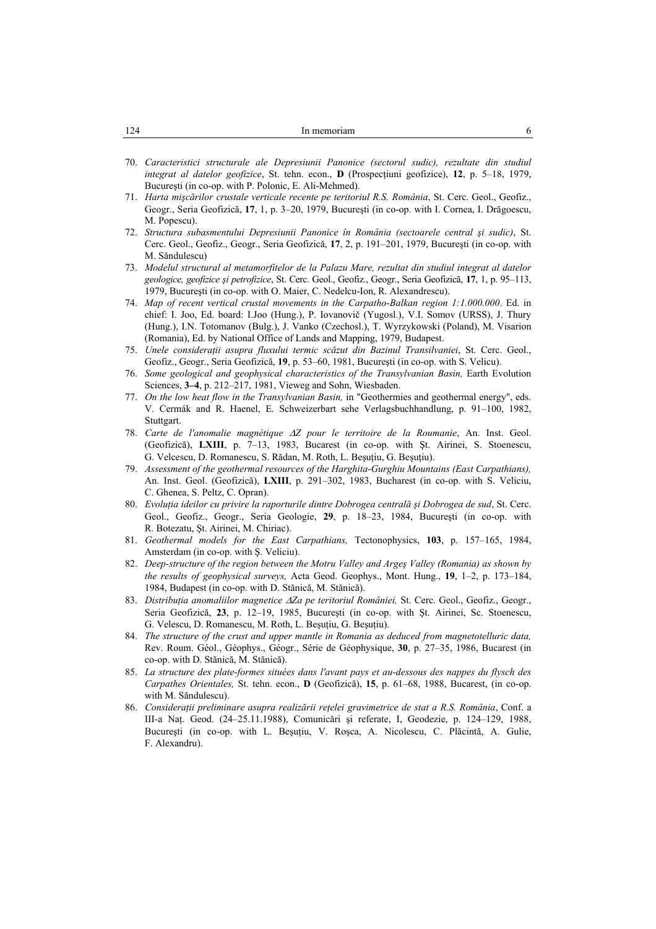| 124 | In memoriam |  |
|-----|-------------|--|
|     |             |  |

- 70. *Caracteristici structurale ale Depresiunii Panonice (sectorul sudic), rezultate din studiul integrat al datelor geofizice*, St. tehn. econ., **D** (Prospecţiuni geofizice), **12**, p. 5–18, 1979, Bucureşti (in co-op. with P. Polonic, E. Ali-Mehmed).
- 71. *Harta mişcărilor crustale verticale recente pe teritoriul R.S. România*, St. Cerc. Geol., Geofiz., Geogr., Seria Geofizică, **17**, 1, p. 3–20, 1979, Bucureşti (in co-op. with I. Cornea, I. Drăgoescu, M. Popescu).
- 72. *Structura subasmentului Depresiunii Panonice în România (sectoarele central şi sudic)*, St. Cerc. Geol., Geofiz., Geogr., Seria Geofizică, **17**, 2, p. 191–201, 1979, Bucureşti (in co-op. with M. Săndulescu)
- 73. *Modelul structural al metamorfitelor de la Palazu Mare, rezultat din studiul integrat al datelor geologice, geofizice şi petrofizice*, St. Cerc. Geol., Geofiz., Geogr., Seria Geofizică, **17**, 1, p. 95–113, 1979, Bucureşti (in co-op. with O. Maier, C. Nedelcu-Ion, R. Alexandrescu).
- 74. *Map of recent vertical crustal movements in the Carpatho-Balkan region 1:1.000.000*. Ed. in chief: I. Joo, Ed. board: I.Joo (Hung.), P. Iovanovič (Yugosl.), V.I. Somov (URSS), J. Thury (Hung.), I.N. Totomanov (Bulg.), J. Vanko (Czechosl.), T. Wyrzykowski (Poland), M. Visarion (Romania), Ed. by National Office of Lands and Mapping, 1979, Budapest.
- 75. *Unele consideraţii asupra fluxului termic scăzut din Bazinul Transilvaniei*, St. Cerc. Geol., Geofiz., Geogr., Seria Geofizică, **19**, p. 53–60, 1981, Bucureşti (in co-op. with S. Velicu).
- 76. *Some geological and geophysical characteristics of the Transylvanian Basin,* Earth Evolution Sciences, **3–4**, p. 212–217, 1981, Vieweg and Sohn, Wiesbaden.
- 77. *On the low heat flow in the Transylvanian Basin,* in "Geothermies and geothermal energy", eds. V. Cermák and R. Haenel, E. Schweizerbart sehe Verlagsbuchhandlung, p. 91–100, 1982, Stuttgart.
- 78. *Carte de l'anomalie magnétique* ∆*Z pour le territoire de la Roumanie*, An. Inst. Geol. (Geofizică), **LXIII**, p. 7–13, 1983, Bucarest (in co-op. with Şt. Airinei, S. Stoenescu, G. Velcescu, D. Romanescu, S. Rădan, M. Roth, L. Beşuţiu, G. Beşuţiu).
- 79. *Assessment of the geothermal resources of the Harghita-Gurghiu Mountains (East Carpathians),*  An. Inst. Geol. (Geofizică), **LXIII**, p. 291–302, 1983, Bucharest (in co-op. with S. Veliciu, C. Ghenea, S. Peltz, C. Opran).
- 80. *Evoluţia ideilor cu privire la raporturile dintre Dobrogea centrală şi Dobrogea de sud*, St. Cerc. Geol., Geofiz., Geogr., Seria Geologie, **29**, p. 18–23, 1984, Bucureşti (in co-op. with R. Botezatu, Şt. Airinei, M. Chiriac).
- 81. *Geothermal models for the East Carpathians,* Tectonophysics, **103**, p. 157–165, 1984, Amsterdam (in co-op. with Ş. Veliciu).
- 82. *Deep-structure of the region between the Motru Valley and Argeş Valley (Romania) as shown by the results of geophysical surveys,* Acta Geod. Geophys., Mont. Hung., **19**, 1–2, p. 173–184, 1984, Budapest (in co-op. with D. Stănică, M. Stănică).
- 83. *Distribuţia anomaliilor magnetice* ∆*Za pe teritoriul României,* St. Cerc. Geol., Geofiz., Geogr., Seria Geofizică, **23**, p. 12–19, 1985, Bucureşti (in co-op. with Şt. Airinei, Sc. Stoenescu, G. Velescu, D. Romanescu, M. Roth, L. Beşuţiu, G. Beşuţiu).
- 84. *The structure of the crust and upper mantle in Romania as deduced from magnetotelluric data,*  Rev. Roum. Géol., Géophys., Géogr., Série de Géophysique, **30**, p. 27–35, 1986, Bucarest (in co-op. with D. Stănică, M. Stănică).
- 85. *La structure des plate-formes situées dans l'avant pays et au-dessous des nappes du flysch des Carpathes Orientales,* St. tehn. econ., **D** (Geofizică), **15**, p. 61–68, 1988, Bucarest, (in co-op. with M. Săndulescu).
- 86. *Consideraţii preliminare asupra realizării reţelei gravimetrice de stat a R.S. România*, Conf. a III-a Naţ. Geod. (24–25.11.1988), Comunicări şi referate, I, Geodezie, p. 124–129, 1988, Bucureşti (in co-op. with L. Beşuţiu, V. Roşca, A. Nicolescu, C. Plăcintă, A. Gulie, F. Alexandru).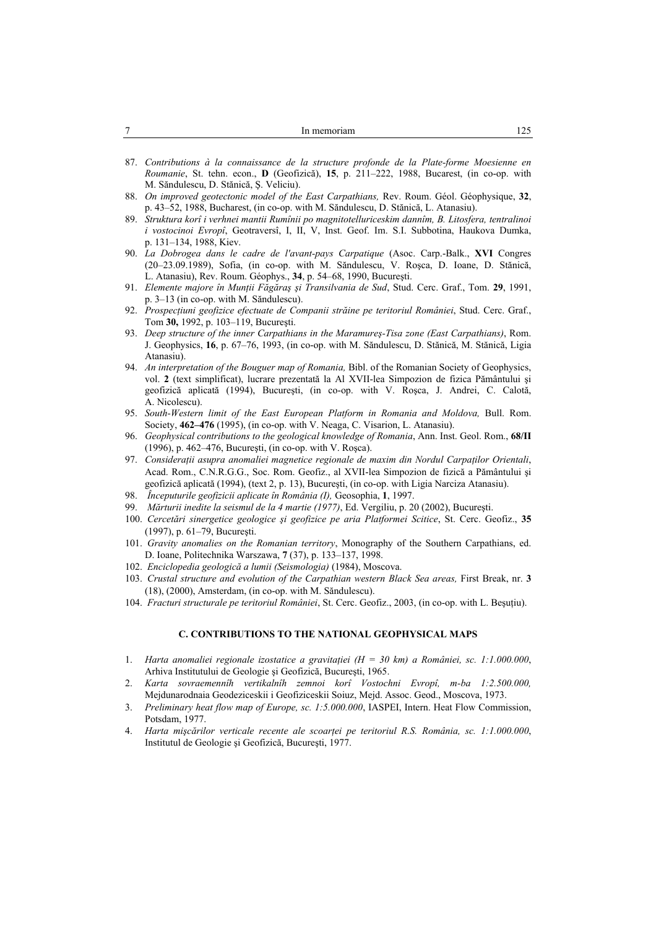| In memoriam                                                                                                                                                                                                                                                                                                   |
|---------------------------------------------------------------------------------------------------------------------------------------------------------------------------------------------------------------------------------------------------------------------------------------------------------------|
|                                                                                                                                                                                                                                                                                                               |
| 87. Contributions à la connaissance de la structure profonde de la Plate-forme Moesienne en                                                                                                                                                                                                                   |
| Roumanie, St. tehn. econ., D (Geofizică), 15, p. 211-222, 1988, Bucarest, (in co-op. with                                                                                                                                                                                                                     |
| M. Săndulescu, D. Stănică, S. Veliciu).                                                                                                                                                                                                                                                                       |
| 00. Our increased and containing we do that $\Gamma$ and $\Gamma$ and $\Gamma$ and $\Gamma$ are $\Gamma$ and $\Gamma$ and $\Gamma$ and $\Gamma$ and $\Gamma$ and $\Gamma$ and $\Gamma$ and $\Gamma$ and $\Gamma$ and $\Gamma$ and $\Gamma$ and $\Gamma$ and $\Gamma$ and $\Gamma$ and $\Gamma$ and $\Gamma$ a |

- 88. *On improved geotectonic model of the East Carpathians,* Rev. Roum. Géol. Géophysique, **32**, p. 43–52, 1988, Bucharest, (in co-op. with M. Săndulescu, D. Stănică, L. Atanasiu).
- 89. *Struktura korî i verhnei mantii Rumînii po magnitotelluriceskim dannîm, B. Litosfera, tentralinoi i vostocinoi Evropî*, Geotraversî, I, II, V, Inst. Geof. Im. S.I. Subbotina, Haukova Dumka, p. 131–134, 1988, Kiev.
- 90. *La Dobrogea dans le cadre de l'avant-pays Carpatique* (Asoc. Carp.-Balk., **XVI** Congres (20–23.09.1989), Sofia, (in co-op. with M. Săndulescu, V. Roşca, D. Ioane, D. Stănică, L. Atanasiu), Rev. Roum. Géophys., **34**, p. 54–68, 1990, Bucureşti.
- 91. *Elemente majore în Munţii Făgăraş şi Transilvania de Sud*, Stud. Cerc. Graf., Tom. **29**, 1991, p. 3–13 (in co-op. with M. Săndulescu).
- 92. *Prospecţiuni geofizice efectuate de Companii străine pe teritoriul României*, Stud. Cerc. Graf., Tom **30,** 1992, p. 103–119, Bucureşti.
- 93. *Deep structure of the inner Carpathians in the Maramureş-Tisa zone (East Carpathians)*, Rom. J. Geophysics, **16**, p. 67–76, 1993, (in co-op. with M. Săndulescu, D. Stănică, M. Stănică, Ligia Atanasiu).
- 94. *An interpretation of the Bouguer map of Romania,* Bibl. of the Romanian Society of Geophysics, vol. **2** (text simplificat), lucrare prezentată la Al XVII-lea Simpozion de fizica Pământului şi geofizică aplicată (1994), Bucureşti, (in co-op. with V. Roşca, J. Andrei, C. Calotă, A. Nicolescu).
- 95. South-Western limit of the East European Platform in Romania and Moldova, Bull. Rom. Society, **462–476** (1995), (in co-op. with V. Neaga, C. Visarion, L. Atanasiu).
- 96. *Geophysical contributions to the geological knowledge of Romania*, Ann. Inst. Geol. Rom., **68/II** (1996), p. 462–476, Bucureşti, (in co-op. with V. Roşca).
- 97. *Consideraţii asupra anomaliei magnetice regionale de maxim din Nordul Carpaţilor Orientali*, Acad. Rom., C.N.R.G.G., Soc. Rom. Geofiz., al XVII-lea Simpozion de fizică a Pământului şi geofizică aplicată (1994), (text 2, p. 13), Bucureşti, (in co-op. with Ligia Narciza Atanasiu).
- 98. *Începuturile geofizicii aplicate în România (I),* Geosophia, **1**, 1997.
- 99. *Mărturii inedite la seismul de la 4 martie (1977)*, Ed. Vergiliu, p. 20 (2002), Bucureşti.
- 100. *Cercetări sinergetice geologice şi geofizice pe aria Platformei Scitice*, St. Cerc. Geofiz., **35** (1997), p. 61–79, Bucureşti.
- 101. *Gravity anomalies on the Romanian territory*, Monography of the Southern Carpathians, ed. D. Ioane, Politechnika Warszawa, **7** (37), p. 133–137, 1998.
- 102. *Enciclopedia geologică a lumii (Seismologia)* (1984), Moscova.
- 103. *Crustal structure and evolution of the Carpathian western Black Sea areas,* First Break, nr. **3** (18), (2000), Amsterdam, (in co-op. with M. Săndulescu).
- 104. *Fracturi structurale pe teritoriul României*, St. Cerc. Geofiz., 2003, (in co-op. with L. Beşuţiu).

### **C. CONTRIBUTIONS TO THE NATIONAL GEOPHYSICAL MAPS**

- 1. *Harta anomaliei regionale izostatice a gravitatiei (H = 30 km) a României, sc. 1:1.000.000*, Arhiva Institutului de Geologie şi Geofizică, Bucureşti, 1965.
- 2. *Karta sovraemennîh vertikalnîh zemnoi korî Vostochni Evropî, m-ba 1:2.500.000,*  Mejdunarodnaia Geodeziceskii i Geofiziceskii Soiuz, Mejd. Assoc. Geod., Moscova, 1973.
- 3. *Preliminary heat flow map of Europe, sc. 1:5.000.000*, IASPEI, Intern. Heat Flow Commission, Potsdam, 1977.
- 4. *Harta mișcărilor verticale recente ale scoarței pe teritoriul R.S. România, sc. 1:1.000.000*, Institutul de Geologie şi Geofizică, Bucureşti, 1977.